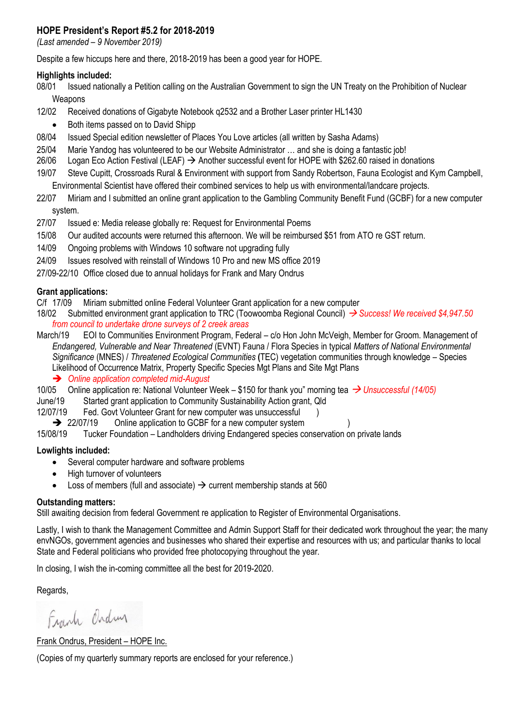# **HOPE President's Report #5.2 for 2018-2019**

*(Last amended – 9 November 2019)*

Despite a few hiccups here and there, 2018-2019 has been a good year for HOPE.

#### **Highlights included:**

08/01 Issued nationally a Petition calling on the Australian Government to sign the UN Treaty on the Prohibition of Nuclear Weapons

- 12/02 Received donations of Gigabyte Notebook q2532 and a Brother Laser printer HL1430
	- Both items passed on to David Shipp
- 08/04 Issued Special edition newsletter of Places You Love articles (all written by Sasha Adams)
- 25/04 Marie Yandog has volunteered to be our Website Administrator … and she is doing a fantastic job!
- 26/06 Logan Eco Action Festival (LEAF) → Another successful event for HOPE with \$262.60 raised in donations
- 19/07 Steve Cupitt, Crossroads Rural & Environment with support from Sandy Robertson, Fauna Ecologist and Kym Campbell, Environmental Scientist have offered their combined services to help us with environmental/landcare projects.
- 22/07 Miriam and I submitted an online grant application to the Gambling Community Benefit Fund (GCBF) for a new computer system.
- 27/07 Issued e: Media release globally re: Request for Environmental Poems
- 15/08 Our audited accounts were returned this afternoon. We will be reimbursed \$51 from ATO re GST return.
- 14/09 Ongoing problems with Windows 10 software not upgrading fully
- 24/09 Issues resolved with reinstall of Windows 10 Pro and new MS office 2019
- 27/09-22/10 Office closed due to annual holidays for Frank and Mary Ondrus

#### **Grant applications:**

C/f 17/09 Miriam submitted online Federal Volunteer Grant application for a new computer

- 18/02 Submitted environment grant application to TRC (Toowoomba Regional Council) → *Success! We received \$4,947.50 from council to undertake drone surveys of 2 creek areas*
- March/19 EOI to Communities Environment Program, Federal c/o Hon John McVeigh, Member for Groom. Management of *Endangered, Vulnerable and Near Threatened* (EVNT) Fauna / Flora Species in typical *Matters of National Environmental Significance* (MNES) / *Threatened Ecological Communities* **(**TEC) vegetation communities through knowledge – Species Likelihood of Occurrence Matrix, Property Specific Species Mgt Plans and Site Mgt Plans

➔ *Online application completed mid-August*

10/05 Online application re: National Volunteer Week – \$150 for thank you" morning tea → *Unsuccessful (14/05)*

- June/19 Started grant application to Community Sustainability Action grant, Qld
- 12/07/19 Fed. Govt Volunteer Grant for new computer was unsuccessful (1)
	- **→** 22/07/19 Online application to GCBF for a new computer system

15/08/19 Tucker Foundation – Landholders driving Endangered species conservation on private lands

#### **Lowlights included:**

- Several computer hardware and software problems
- High turnover of volunteers
- Loss of members (full and associate)  $\rightarrow$  current membership stands at 560

#### **Outstanding matters:**

Still awaiting decision from federal Government re application to Register of Environmental Organisations.

Lastly, I wish to thank the Management Committee and Admin Support Staff for their dedicated work throughout the year; the many envNGOs, government agencies and businesses who shared their expertise and resources with us; and particular thanks to local State and Federal politicians who provided free photocopying throughout the year.

In closing, I wish the in-coming committee all the best for 2019-2020.

Regards,

Frank Ordin

Frank Ondrus, President – HOPE Inc.

(Copies of my quarterly summary reports are enclosed for your reference.)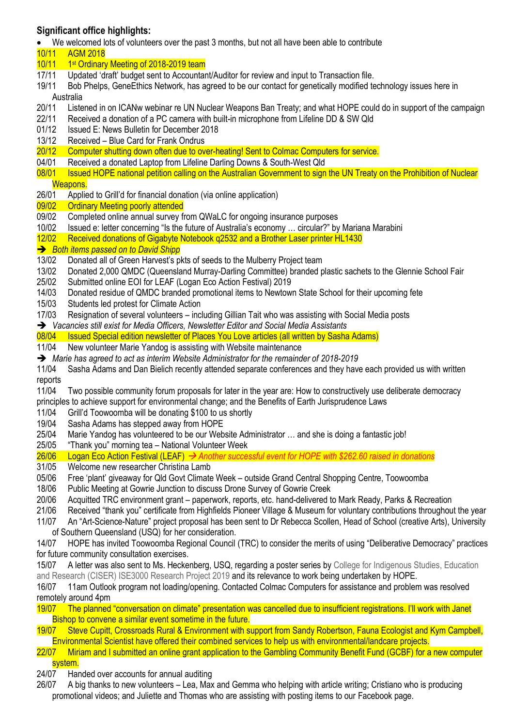# **Significant office highlights:**

• We welcomed lots of volunteers over the past 3 months, but not all have been able to contribute

- 10/11 AGM 2018
- 10/11 1 st Ordinary Meeting of 2018-2019 team
- 17/11 Updated 'draft' budget sent to Accountant/Auditor for review and input to Transaction file.
- 19/11 Bob Phelps, GeneEthics Network, has agreed to be our contact for genetically modified technology issues here in Australia
- 20/11 Listened in on ICANw webinar re UN Nuclear Weapons Ban Treaty; and what HOPE could do in support of the campaign
- 22/11 Received a donation of a PC camera with built-in microphone from Lifeline DD & SW Qld
- 01/12 Issued E: News Bulletin for December 2018
- 13/12 Received Blue Card for Frank Ondrus
- 20/12 Computer shutting down often due to over-heating! Sent to Colmac Computers for service.
- 04/01 Received a donated Laptop from Lifeline Darling Downs & South-West Qld
- 08/01 Issued HOPE national petition calling on the Australian Government to sign the UN Treaty on the Prohibition of Nuclear Weapons.
- 26/01 Applied to Grill'd for financial donation (via online application)
- 09/02 Ordinary Meeting poorly attended
- 09/02 Completed online annual survey from QWaLC for ongoing insurance purposes
- 10/02 Issued e: letter concerning "Is the future of Australia's economy … circular?" by Mariana Marabini
- 12/02 Received donations of Gigabyte Notebook q2532 and a Brother Laser printer HL1430

### ➔ *Both items passed on to David Shipp*

- 13/02 Donated all of Green Harvest's pkts of seeds to the Mulberry Project team
- 13/02 Donated 2,000 QMDC (Queensland Murray-Darling Committee) branded plastic sachets to the Glennie School Fair
- 25/02 Submitted online EOI for LEAF (Logan Eco Action Festival) 2019
- 14/03 Donated residue of QMDC branded promotional items to Newtown State School for their upcoming fete
- 15/03 Students led protest for Climate Action
- 17/03 Resignation of several volunteers including Gillian Tait who was assisting with Social Media posts
- ➔ *Vacancies still exist for Media Officers, Newsletter Editor and Social Media Assistants*
- 08/04 Issued Special edition newsletter of Places You Love articles (all written by Sasha Adams)
- 11/04 New volunteer Marie Yandog is assisting with Website maintenance
- ➔ *Marie has agreed to act as interim Website Administrator for the remainder of 2018-2019*
- 11/04 Sasha Adams and Dan Bielich recently attended separate conferences and they have each provided us with written reports
- 11/04 Two possible community forum proposals for later in the year are: How to constructively use deliberate democracy principles to achieve support for environmental change; and the Benefits of Earth Jurisprudence Laws
- 11/04 Grill'd Toowoomba will be donating \$100 to us shortly
- 19/04 Sasha Adams has stepped away from HOPE
- 25/04 Marie Yandog has volunteered to be our Website Administrator … and she is doing a fantastic job!
- 25/05 "Thank you" morning tea National Volunteer Week
- 26/06 Logan Eco Action Festival (LEAF) → *Another successful event for HOPE with \$262.60 raised in donations*
- 31/05 Welcome new researcher Christina Lamb
- 05/06 Free 'plant' giveaway for Qld Govt Climate Week outside Grand Central Shopping Centre, Toowoomba
- 18/06 Public Meeting at Gowrie Junction to discuss Drone Survey of Gowrie Creek
- 20/06 Acquitted TRC environment grant paperwork, reports, etc. hand-delivered to Mark Ready, Parks & Recreation
- 21/06 Received "thank you" certificate from Highfields Pioneer Village & Museum for voluntary contributions throughout the year
- 11/07 An "Art-Science-Nature" project proposal has been sent to Dr Rebecca Scollen, Head of School (creative Arts), University of Southern Queensland (USQ) for her consideration.
- 14/07 HOPE has invited Toowoomba Regional Council (TRC) to consider the merits of using "Deliberative Democracy" practices for future community consultation exercises.
- 15/07 A letter was also sent to Ms. Heckenberg, USQ, regarding a poster series by College for Indigenous Studies, Education and Research (CISER) ISE3000 Research Project 2019 and its relevance to work being undertaken by HOPE.
- 16/07 11am Outlook program not loading/opening. Contacted Colmac Computers for assistance and problem was resolved remotely around 4pm
- 19/07 The planned "conversation on climate" presentation was cancelled due to insufficient registrations. I'll work with Janet Bishop to convene a similar event sometime in the future.
- 19/07 Steve Cupitt, Crossroads Rural & Environment with support from Sandy Robertson, Fauna Ecologist and Kym Campbell, Environmental Scientist have offered their combined services to help us with environmental/landcare projects.
- 22/07 Miriam and I submitted an online grant application to the Gambling Community Benefit Fund (GCBF) for a new computer system.
- 24/07 Handed over accounts for annual auditing
- 26/07 A big thanks to new volunteers Lea, Max and Gemma who helping with article writing; Cristiano who is producing promotional videos; and Juliette and Thomas who are assisting with posting items to our Facebook page.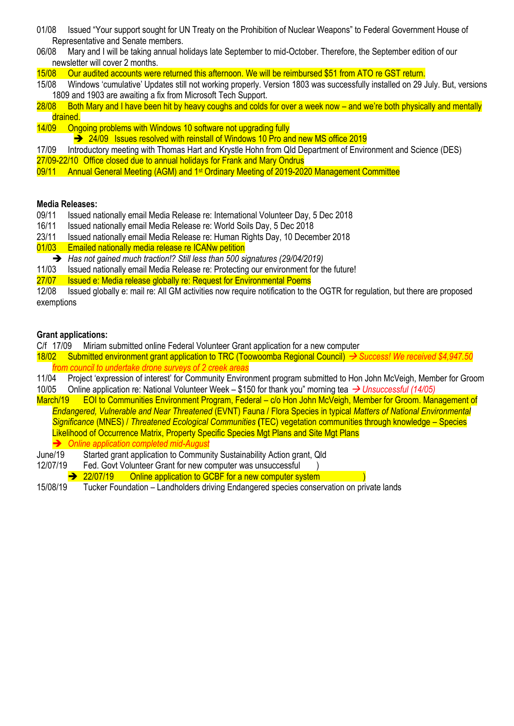- 01/08 Issued "Your support sought for UN Treaty on the Prohibition of Nuclear Weapons" to Federal Government House of Representative and Senate members.
- 06/08 Mary and I will be taking annual holidays late September to mid-October. Therefore, the September edition of our newsletter will cover 2 months.
- 15/08 Our audited accounts were returned this afternoon. We will be reimbursed \$51 from ATO re GST return.
- 15/08 Windows 'cumulative' Updates still not working properly. Version 1803 was successfully installed on 29 July. But, versions 1809 and 1903 are awaiting a fix from Microsoft Tech Support.
- 28/08 Both Mary and I have been hit by heavy coughs and colds for over a week now and we're both physically and mentally drained.
- 14/09 Ongoing problems with Windows 10 software not upgrading fully
	- ➔ 24/09 Issues resolved with reinstall of Windows 10 Pro and new MS office 2019
- 17/09 Introductory meeting with Thomas Hart and Krystle Hohn from Qld Department of Environment and Science (DES)
- 27/09-22/10 Office closed due to annual holidays for Frank and Mary Ondrus
- 09/11 Annual General Meeting (AGM) and 1st Ordinary Meeting of 2019-2020 Management Committee

#### **Media Releases:**

- 09/11 Issued nationally email Media Release re: International Volunteer Day, 5 Dec 2018
- 16/11 Issued nationally email Media Release re: World Soils Day, 5 Dec 2018
- 23/11 Issued nationally email Media Release re: Human Rights Day, 10 December 2018
- 01/03 Emailed nationally media release re ICANw petition
- ➔ *Has not gained much traction!? Still less than 500 signatures (29/04/2019)*
- 11/03 Issued nationally email Media Release re: Protecting our environment for the future!
- 27/07 Issued e: Media release globally re: Request for Environmental Poems

12/08 Issued globally e: mail re: All GM activities now require notification to the OGTR for regulation, but there are proposed exemptions

#### **Grant applications:**

C/f 17/09 Miriam submitted online Federal Volunteer Grant application for a new computer

- 18/02 Submitted environment grant application to TRC (Toowoomba Regional Council) → *Success! We received \$4,947.50 from council to undertake drone surveys of 2 creek areas*
- 11/04 Project 'expression of interest' for Community Environment program submitted to Hon John McVeigh, Member for Groom
- 10/05 Online application re: National Volunteer Week \$150 for thank you" morning tea → *Unsuccessful (14/05)*
- March/19 EOI to Communities Environment Program, Federal c/o Hon John McVeigh, Member for Groom. Management of *Endangered, Vulnerable and Near Threatened* (EVNT) Fauna / Flora Species in typical *Matters of National Environmental Significance* (MNES) / *Threatened Ecological Communities* **(**TEC) vegetation communities through knowledge – Species Likelihood of Occurrence Matrix, Property Specific Species Mgt Plans and Site Mgt Plans ➔ *Online application completed mid-August*
- June/19 Started grant application to Community Sustainability Action grant, Qld
- 12/07/19 Fed. Govt Volunteer Grant for new computer was unsuccessful )
	- **→** 22/07/19 Online application to GCBF for a new computer system
- 15/08/19 Tucker Foundation Landholders driving Endangered species conservation on private lands